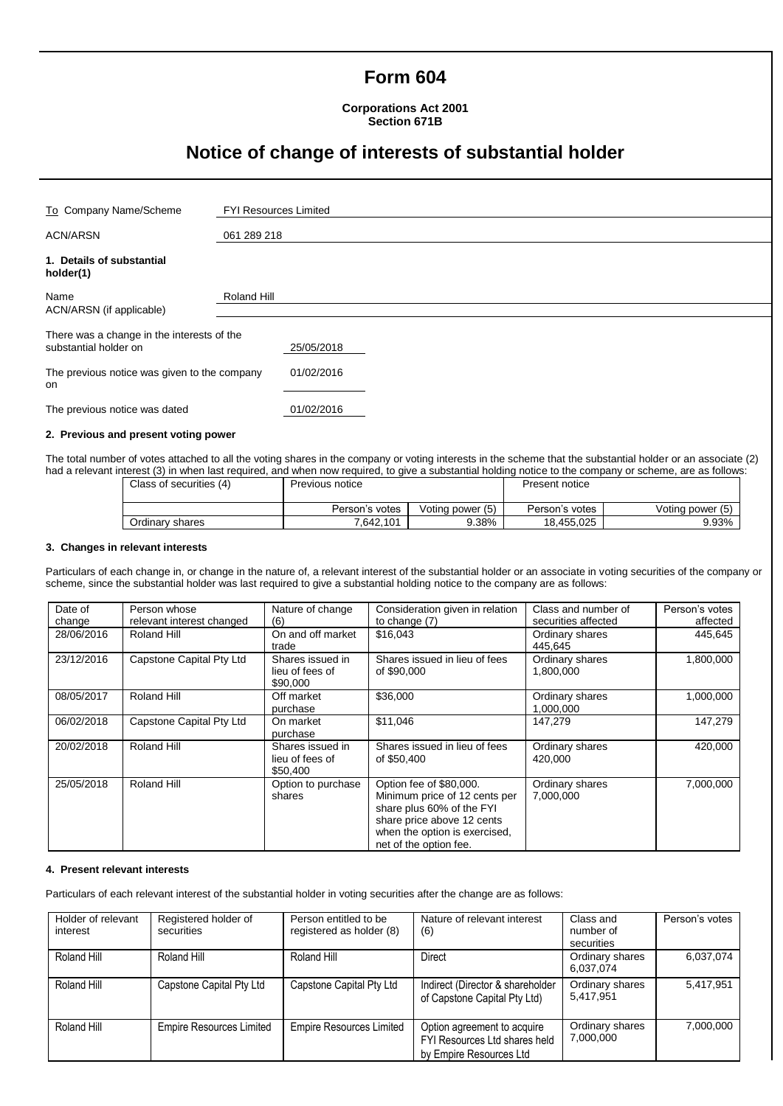## **Form 604**

**Corporations Act 2001 Section 671B**

# **Notice of change of interests of substantial holder**

| To Company Name/Scheme                                              | <b>FYI Resources Limited</b> |            |  |  |  |
|---------------------------------------------------------------------|------------------------------|------------|--|--|--|
| <b>ACN/ARSN</b>                                                     | 061 289 218                  |            |  |  |  |
| 1. Details of substantial<br>holder(1)                              |                              |            |  |  |  |
| Name<br>ACN/ARSN (if applicable)                                    | Roland Hill                  |            |  |  |  |
| There was a change in the interests of the<br>substantial holder on |                              | 25/05/2018 |  |  |  |
| The previous notice was given to the company<br>on                  |                              | 01/02/2016 |  |  |  |
| The previous notice was dated                                       |                              | 01/02/2016 |  |  |  |

#### **2. Previous and present voting power**

The total number of votes attached to all the voting shares in the company or voting interests in the scheme that the substantial holder or an associate (2) had a relevant interest (3) in when last required, and when now required, to give a substantial holding notice to the company or scheme, are as follows:

| Class of securities (4) | Previous notice |                  | Present notice |                  |
|-------------------------|-----------------|------------------|----------------|------------------|
|                         | Person's votes  | Voting power (5) | Person's votes | Voting power (5) |
| Ordinary shares         | 7.642.101       | 9.38%            | 18,455,025     | 9.93%            |

#### **3. Changes in relevant interests**

Particulars of each change in, or change in the nature of, a relevant interest of the substantial holder or an associate in voting securities of the company or scheme, since the substantial holder was last required to give a substantial holding notice to the company are as follows:

| Date of<br>change | Person whose<br>relevant interest changed | Nature of change<br>(6)                         | Consideration given in relation<br>to change (7)                                                                                                                               | Class and number of<br>securities affected | Person's votes<br>affected |
|-------------------|-------------------------------------------|-------------------------------------------------|--------------------------------------------------------------------------------------------------------------------------------------------------------------------------------|--------------------------------------------|----------------------------|
| 28/06/2016        | Roland Hill                               | On and off market<br>trade                      | \$16,043                                                                                                                                                                       | Ordinary shares<br>445.645                 | 445.645                    |
| 23/12/2016        | Capstone Capital Pty Ltd                  | Shares issued in<br>lieu of fees of<br>\$90,000 | Shares issued in lieu of fees<br>of \$90,000                                                                                                                                   | Ordinary shares<br>1,800,000               | 1,800,000                  |
| 08/05/2017        | Roland Hill                               | Off market<br>purchase                          | \$36,000                                                                                                                                                                       | Ordinary shares<br>1,000,000               | 1,000,000                  |
| 06/02/2018        | Capstone Capital Pty Ltd                  | On market<br>purchase                           | \$11,046                                                                                                                                                                       | 147,279                                    | 147,279                    |
| 20/02/2018        | Roland Hill                               | Shares issued in<br>lieu of fees of<br>\$50,400 | Shares issued in lieu of fees<br>of \$50,400                                                                                                                                   | Ordinary shares<br>420,000                 | 420,000                    |
| 25/05/2018        | Roland Hill                               | Option to purchase<br>shares                    | Option fee of \$80,000.<br>Minimum price of 12 cents per<br>share plus 60% of the FYI<br>share price above 12 cents<br>when the option is exercised,<br>net of the option fee. | Ordinary shares<br>7,000,000               | 7,000,000                  |

### **4. Present relevant interests**

Particulars of each relevant interest of the substantial holder in voting securities after the change are as follows:

| Holder of relevant<br>interest | Registered holder of<br>securities | Person entitled to be<br>registered as holder (8) | Nature of relevant interest<br>(6)                                                      | Class and<br>number of<br>securities | Person's votes |
|--------------------------------|------------------------------------|---------------------------------------------------|-----------------------------------------------------------------------------------------|--------------------------------------|----------------|
| Roland Hill                    | Roland Hill                        | Roland Hill                                       | Direct                                                                                  | Ordinary shares<br>6.037.074         | 6,037,074      |
| Roland Hill                    | Capstone Capital Pty Ltd           | Capstone Capital Pty Ltd                          | Indirect (Director & shareholder<br>of Capstone Capital Pty Ltd)                        | Ordinary shares<br>5.417.951         | 5,417,951      |
| Roland Hill                    | <b>Empire Resources Limited</b>    | <b>Empire Resources Limited</b>                   | Option agreement to acquire<br>FYI Resources Ltd shares held<br>by Empire Resources Ltd | Ordinary shares<br>7,000,000         | 7,000,000      |